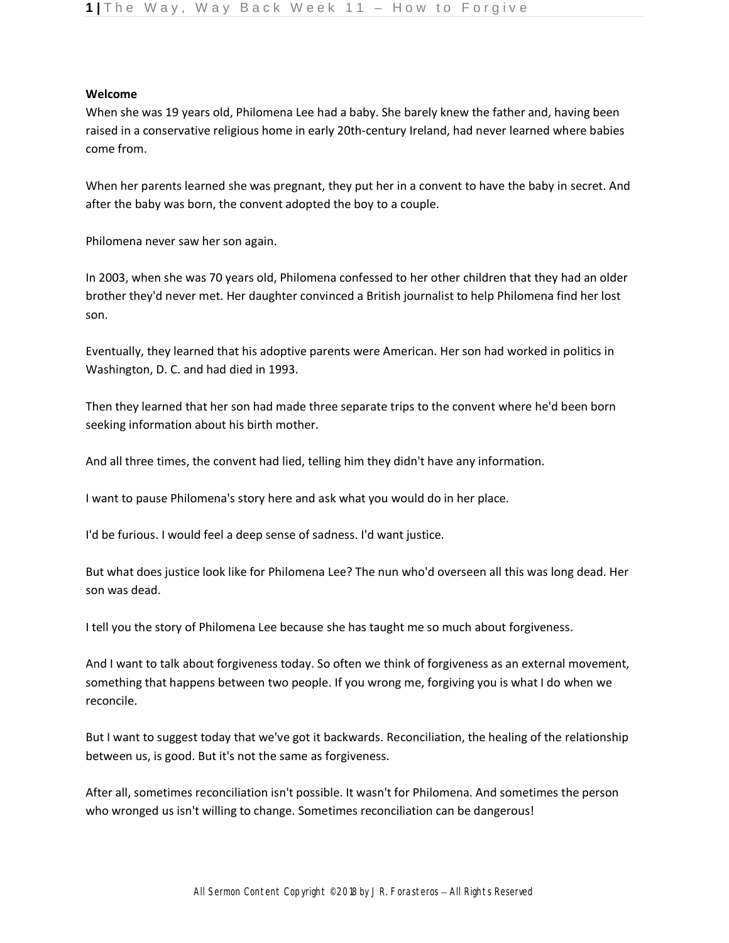## **Welcome**

When she was 19 years old, Philomena Lee had a baby. She barely knew the father and, having been raised in a conservative religious home in early 20th-century Ireland, had never learned where babies come from.

When her parents learned she was pregnant, they put her in a convent to have the baby in secret. And after the baby was born, the convent adopted the boy to a couple.

Philomena never saw her son again.

In 2003, when she was 70 years old, Philomena confessed to her other children that they had an older brother they'd never met. Her daughter convinced a British journalist to help Philomena find her lost son.

Eventually, they learned that his adoptive parents were American. Her son had worked in politics in Washington, D. C. and had died in 1993.

Then they learned that her son had made three separate trips to the convent where he'd been born seeking information about his birth mother.

And all three times, the convent had lied, telling him they didn't have any information.

I want to pause Philomena's story here and ask what you would do in her place.

I'd be furious. I would feel a deep sense of sadness. I'd want justice.

But what does justice look like for Philomena Lee? The nun who'd overseen all this was long dead. Her son was dead.

I tell you the story of Philomena Lee because she has taught me so much about forgiveness.

And I want to talk about forgiveness today. So often we think of forgiveness as an external movement, something that happens between two people. If you wrong me, forgiving you is what I do when we reconcile.

But I want to suggest today that we've got it backwards. Reconciliation, the healing of the relationship between us, is good. But it's not the same as forgiveness.

After all, sometimes reconciliation isn't possible. It wasn't for Philomena. And sometimes the person who wronged us isn't willing to change. Sometimes reconciliation can be dangerous!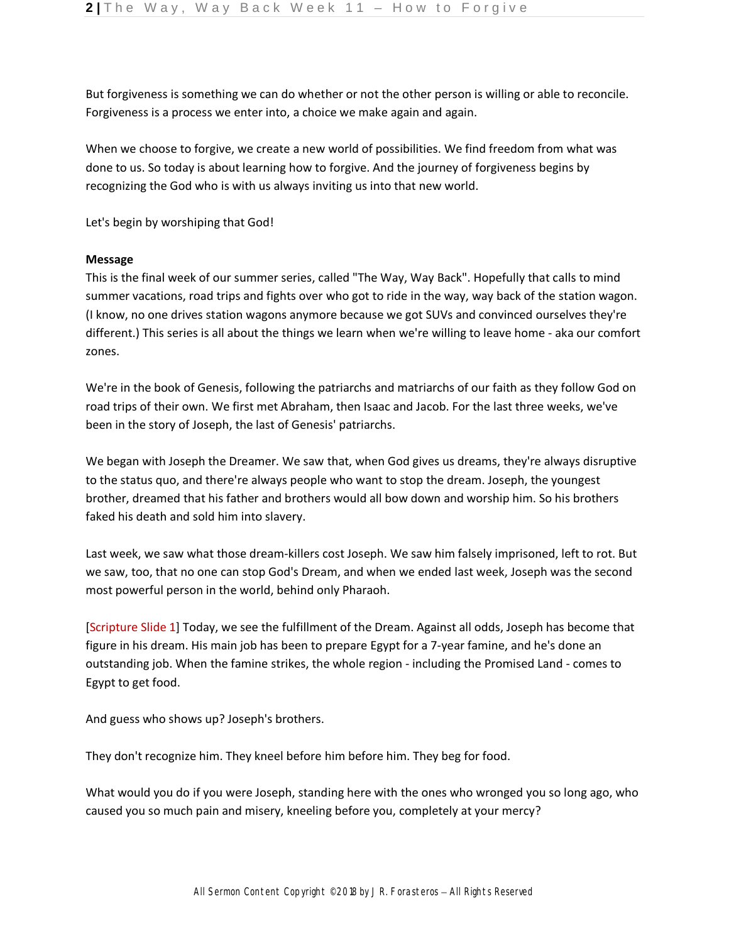But forgiveness is something we can do whether or not the other person is willing or able to reconcile. Forgiveness is a process we enter into, a choice we make again and again.

When we choose to forgive, we create a new world of possibilities. We find freedom from what was done to us. So today is about learning how to forgive. And the journey of forgiveness begins by recognizing the God who is with us always inviting us into that new world.

Let's begin by worshiping that God!

## **Message**

This is the final week of our summer series, called "The Way, Way Back". Hopefully that calls to mind summer vacations, road trips and fights over who got to ride in the way, way back of the station wagon. (I know, no one drives station wagons anymore because we got SUVs and convinced ourselves they're different.) This series is all about the things we learn when we're willing to leave home - aka our comfort zones.

We're in the book of Genesis, following the patriarchs and matriarchs of our faith as they follow God on road trips of their own. We first met Abraham, then Isaac and Jacob. For the last three weeks, we've been in the story of Joseph, the last of Genesis' patriarchs.

We began with Joseph the Dreamer. We saw that, when God gives us dreams, they're always disruptive to the status quo, and there're always people who want to stop the dream. Joseph, the youngest brother, dreamed that his father and brothers would all bow down and worship him. So his brothers faked his death and sold him into slavery.

Last week, we saw what those dream-killers cost Joseph. We saw him falsely imprisoned, left to rot. But we saw, too, that no one can stop God's Dream, and when we ended last week, Joseph was the second most powerful person in the world, behind only Pharaoh.

[Scripture Slide 1] Today, we see the fulfillment of the Dream. Against all odds, Joseph has become that figure in his dream. His main job has been to prepare Egypt for a 7-year famine, and he's done an outstanding job. When the famine strikes, the whole region - including the Promised Land - comes to Egypt to get food.

And guess who shows up? Joseph's brothers.

They don't recognize him. They kneel before him before him. They beg for food.

What would you do if you were Joseph, standing here with the ones who wronged you so long ago, who caused you so much pain and misery, kneeling before you, completely at your mercy?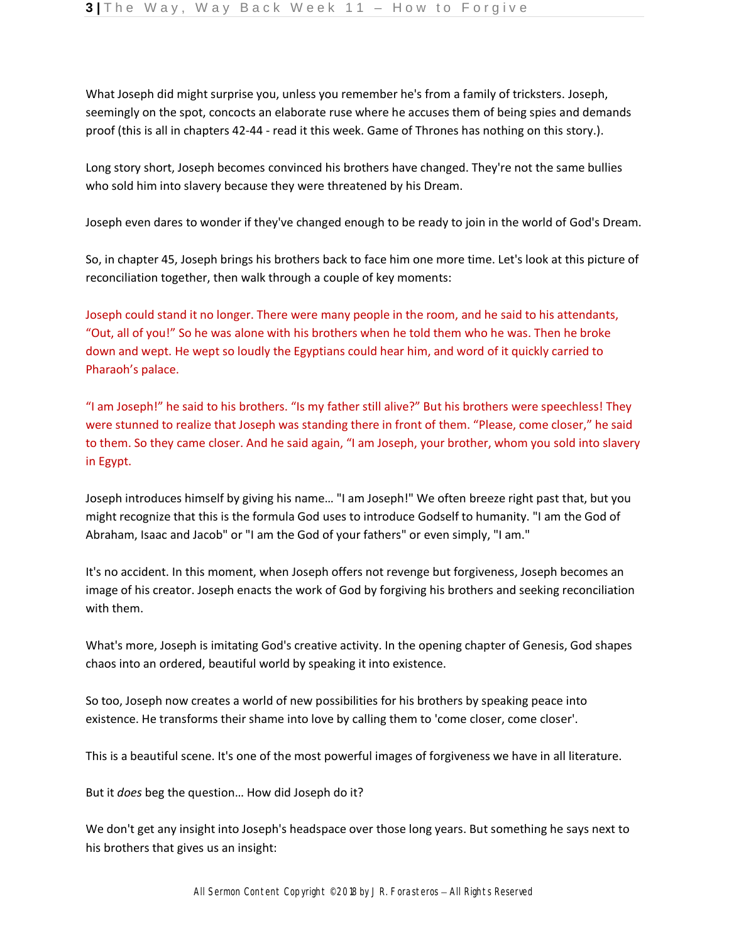What Joseph did might surprise you, unless you remember he's from a family of tricksters. Joseph, seemingly on the spot, concocts an elaborate ruse where he accuses them of being spies and demands proof (this is all in chapters 42-44 - read it this week. Game of Thrones has nothing on this story.).

Long story short, Joseph becomes convinced his brothers have changed. They're not the same bullies who sold him into slavery because they were threatened by his Dream.

Joseph even dares to wonder if they've changed enough to be ready to join in the world of God's Dream.

So, in chapter 45, Joseph brings his brothers back to face him one more time. Let's look at this picture of reconciliation together, then walk through a couple of key moments:

Joseph could stand it no longer. There were many people in the room, and he said to his attendants, "Out, all of you!" So he was alone with his brothers when he told them who he was. Then he broke down and wept. He wept so loudly the Egyptians could hear him, and word of it quickly carried to Pharaoh's palace.

"I am Joseph!" he said to his brothers. "Is my father still alive?" But his brothers were speechless! They were stunned to realize that Joseph was standing there in front of them. "Please, come closer," he said to them. So they came closer. And he said again, "I am Joseph, your brother, whom you sold into slavery in Egypt.

Joseph introduces himself by giving his name… "I am Joseph!" We often breeze right past that, but you might recognize that this is the formula God uses to introduce Godself to humanity. "I am the God of Abraham, Isaac and Jacob" or "I am the God of your fathers" or even simply, "I am."

It's no accident. In this moment, when Joseph offers not revenge but forgiveness, Joseph becomes an image of his creator. Joseph enacts the work of God by forgiving his brothers and seeking reconciliation with them.

What's more, Joseph is imitating God's creative activity. In the opening chapter of Genesis, God shapes chaos into an ordered, beautiful world by speaking it into existence.

So too, Joseph now creates a world of new possibilities for his brothers by speaking peace into existence. He transforms their shame into love by calling them to 'come closer, come closer'.

This is a beautiful scene. It's one of the most powerful images of forgiveness we have in all literature.

But it *does* beg the question… How did Joseph do it?

We don't get any insight into Joseph's headspace over those long years. But something he says next to his brothers that gives us an insight: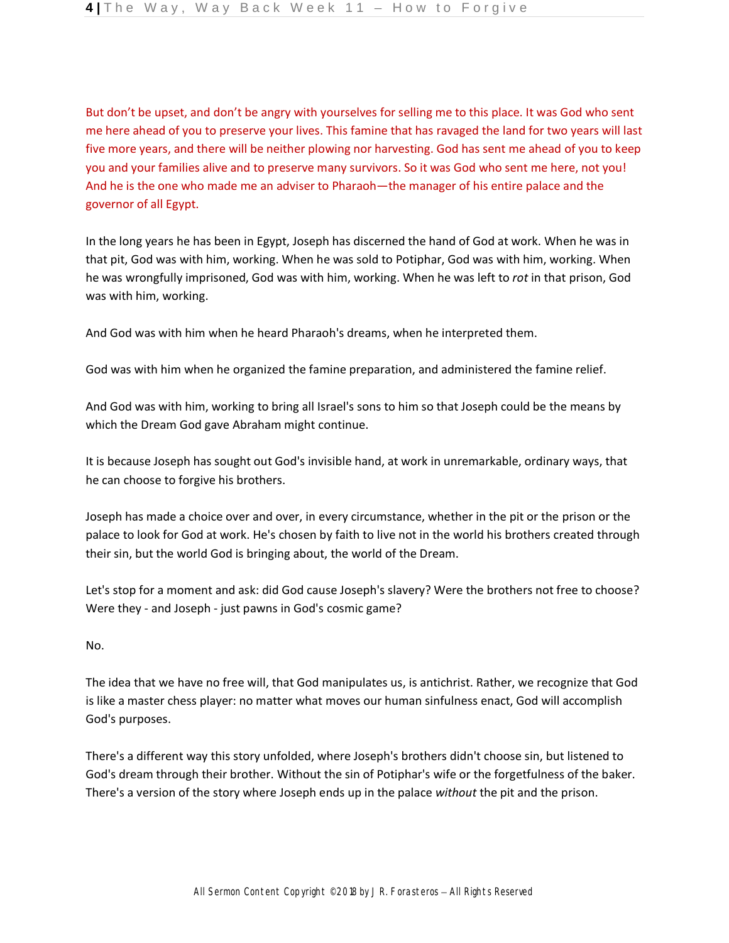But don't be upset, and don't be angry with yourselves for selling me to this place. It was God who sent me here ahead of you to preserve your lives. This famine that has ravaged the land for two years will last five more years, and there will be neither plowing nor harvesting. God has sent me ahead of you to keep you and your families alive and to preserve many survivors. So it was God who sent me here, not you! And he is the one who made me an adviser to Pharaoh—the manager of his entire palace and the governor of all Egypt.

In the long years he has been in Egypt, Joseph has discerned the hand of God at work. When he was in that pit, God was with him, working. When he was sold to Potiphar, God was with him, working. When he was wrongfully imprisoned, God was with him, working. When he was left to *rot* in that prison, God was with him, working.

And God was with him when he heard Pharaoh's dreams, when he interpreted them.

God was with him when he organized the famine preparation, and administered the famine relief.

And God was with him, working to bring all Israel's sons to him so that Joseph could be the means by which the Dream God gave Abraham might continue.

It is because Joseph has sought out God's invisible hand, at work in unremarkable, ordinary ways, that he can choose to forgive his brothers.

Joseph has made a choice over and over, in every circumstance, whether in the pit or the prison or the palace to look for God at work. He's chosen by faith to live not in the world his brothers created through their sin, but the world God is bringing about, the world of the Dream.

Let's stop for a moment and ask: did God cause Joseph's slavery? Were the brothers not free to choose? Were they - and Joseph - just pawns in God's cosmic game?

No.

The idea that we have no free will, that God manipulates us, is antichrist. Rather, we recognize that God is like a master chess player: no matter what moves our human sinfulness enact, God will accomplish God's purposes.

There's a different way this story unfolded, where Joseph's brothers didn't choose sin, but listened to God's dream through their brother. Without the sin of Potiphar's wife or the forgetfulness of the baker. There's a version of the story where Joseph ends up in the palace *without* the pit and the prison.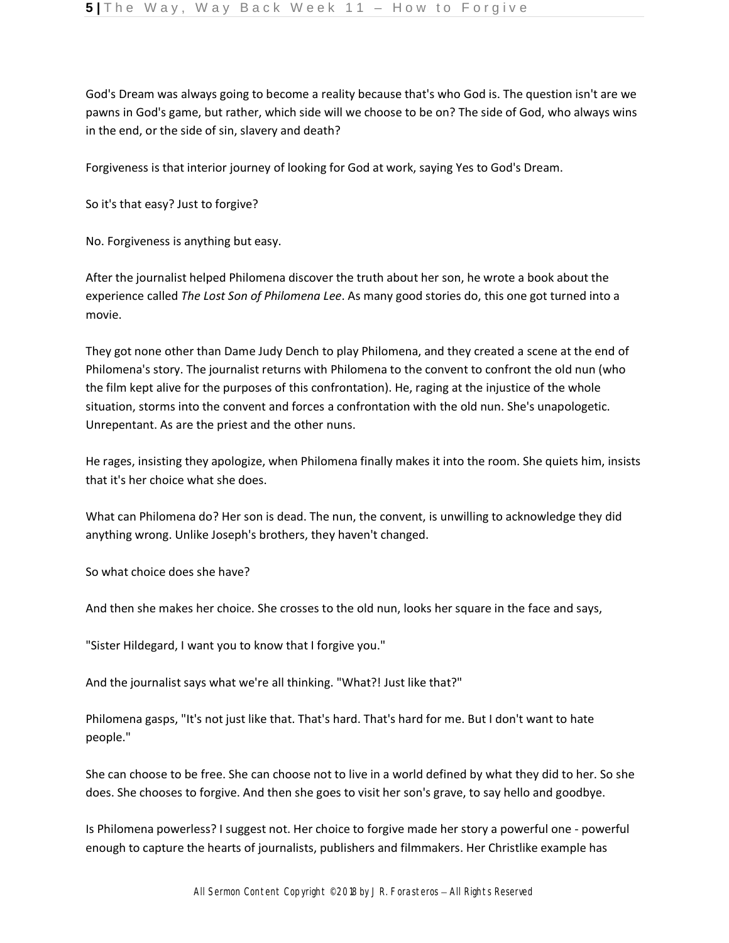God's Dream was always going to become a reality because that's who God is. The question isn't are we pawns in God's game, but rather, which side will we choose to be on? The side of God, who always wins in the end, or the side of sin, slavery and death?

Forgiveness is that interior journey of looking for God at work, saying Yes to God's Dream.

So it's that easy? Just to forgive?

No. Forgiveness is anything but easy.

After the journalist helped Philomena discover the truth about her son, he wrote a book about the experience called *The Lost Son of Philomena Lee*. As many good stories do, this one got turned into a movie.

They got none other than Dame Judy Dench to play Philomena, and they created a scene at the end of Philomena's story. The journalist returns with Philomena to the convent to confront the old nun (who the film kept alive for the purposes of this confrontation). He, raging at the injustice of the whole situation, storms into the convent and forces a confrontation with the old nun. She's unapologetic. Unrepentant. As are the priest and the other nuns.

He rages, insisting they apologize, when Philomena finally makes it into the room. She quiets him, insists that it's her choice what she does.

What can Philomena do? Her son is dead. The nun, the convent, is unwilling to acknowledge they did anything wrong. Unlike Joseph's brothers, they haven't changed.

So what choice does she have?

And then she makes her choice. She crosses to the old nun, looks her square in the face and says,

"Sister Hildegard, I want you to know that I forgive you."

And the journalist says what we're all thinking. "What?! Just like that?"

Philomena gasps, "It's not just like that. That's hard. That's hard for me. But I don't want to hate people."

She can choose to be free. She can choose not to live in a world defined by what they did to her. So she does. She chooses to forgive. And then she goes to visit her son's grave, to say hello and goodbye.

Is Philomena powerless? I suggest not. Her choice to forgive made her story a powerful one - powerful enough to capture the hearts of journalists, publishers and filmmakers. Her Christlike example has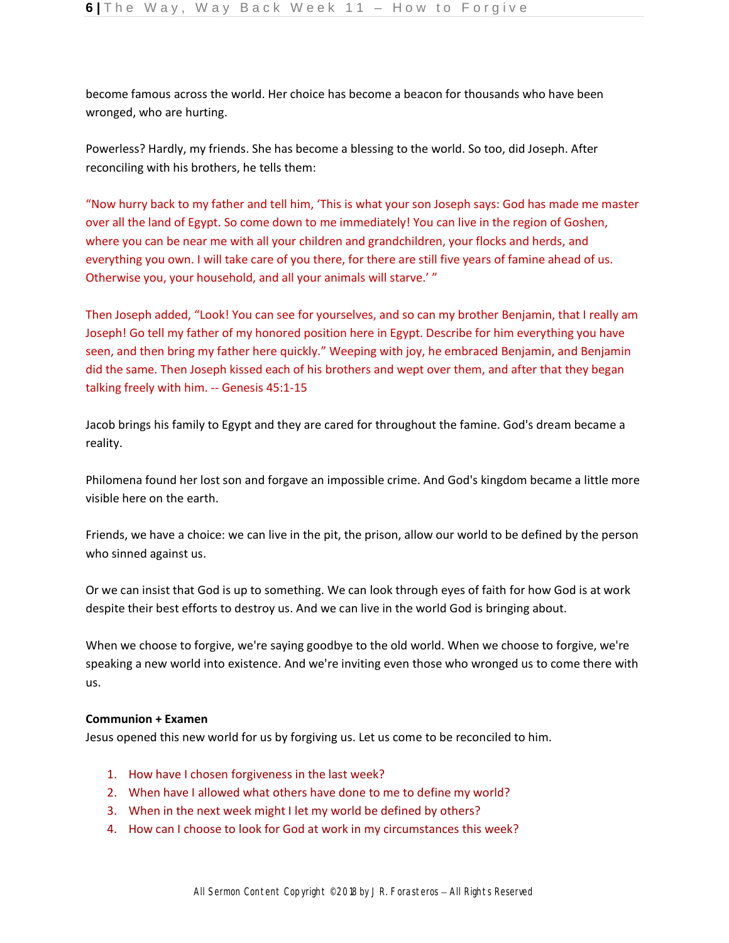become famous across the world. Her choice has become a beacon for thousands who have been wronged, who are hurting.

Powerless? Hardly, my friends. She has become a blessing to the world. So too, did Joseph. After reconciling with his brothers, he tells them:

"Now hurry back to my father and tell him, 'This is what your son Joseph says: God has made me master over all the land of Egypt. So come down to me immediately! You can live in the region of Goshen, where you can be near me with all your children and grandchildren, your flocks and herds, and everything you own. I will take care of you there, for there are still five years of famine ahead of us. Otherwise you, your household, and all your animals will starve.' "

Then Joseph added, "Look! You can see for yourselves, and so can my brother Benjamin, that I really am Joseph! Go tell my father of my honored position here in Egypt. Describe for him everything you have seen, and then bring my father here quickly." Weeping with joy, he embraced Benjamin, and Benjamin did the same. Then Joseph kissed each of his brothers and wept over them, and after that they began talking freely with him. -- Genesis 45:1-15

Jacob brings his family to Egypt and they are cared for throughout the famine. God's dream became a reality.

Philomena found her lost son and forgave an impossible crime. And God's kingdom became a little more visible here on the earth.

Friends, we have a choice: we can live in the pit, the prison, allow our world to be defined by the person who sinned against us.

Or we can insist that God is up to something. We can look through eyes of faith for how God is at work despite their best efforts to destroy us. And we can live in the world God is bringing about.

When we choose to forgive, we're saying goodbye to the old world. When we choose to forgive, we're speaking a new world into existence. And we're inviting even those who wronged us to come there with us.

## **Communion + Examen**

Jesus opened this new world for us by forgiving us. Let us come to be reconciled to him.

- 1. How have I chosen forgiveness in the last week?
- 2. When have I allowed what others have done to me to define my world?
- 3. When in the next week might I let my world be defined by others?
- 4. How can I choose to look for God at work in my circumstances this week?